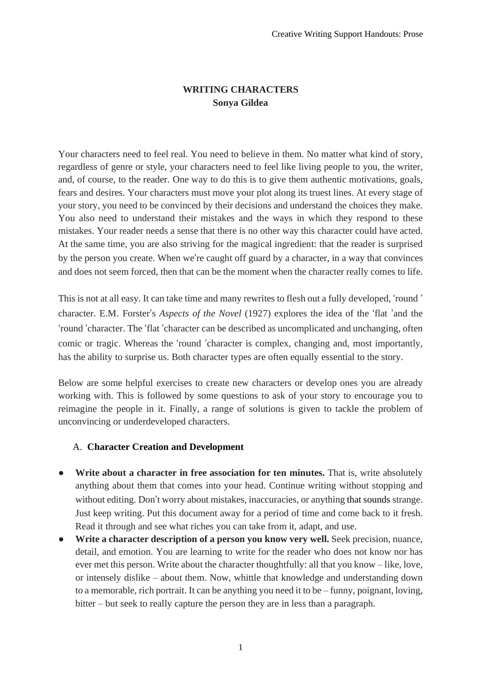## **WRITING CHARACTERS Sonya Gildea**

Your characters need to feel real. You need to believe in them. No matter what kind of story, regardless of genre or style, your characters need to feel like living people to you, the writer, and, of course, to the reader. One way to do this is to give them authentic motivations, goals, fears and desires. Your characters must move your plot along its truest lines. At every stage of your story, you need to be convinced by their decisions and understand the choices they make. You also need to understand their mistakes and the ways in which they respond to these mistakes. Your reader needs a sense that there is no other way this character could have acted. At the same time, you are also striving for the magical ingredient: that the reader is surprised by the person you create. When we're caught off guard by a character, in a way that convinces and does not seem forced, then that can be the moment when the character really comes to life.

This is not at all easy. It can take time and many rewrites to flesh out a fully developed, 'round ' character. E.M. Forster's *Aspects of the Novel* (1927) explores the idea of the 'flat 'and the 'round 'character. The 'flat 'character can be described as uncomplicated and unchanging, often comic or tragic. Whereas the 'round 'character is complex, changing and, most importantly, has the ability to surprise us. Both character types are often equally essential to the story.

Below are some helpful exercises to create new characters or develop ones you are already working with. This is followed by some questions to ask of your story to encourage you to reimagine the people in it. Finally, a range of solutions is given to tackle the problem of unconvincing or underdeveloped characters.

## A. **Character Creation and Development**

- **Write about a character in free association for ten minutes.** That is, write absolutely anything about them that comes into your head. Continue writing without stopping and without editing. Don't worry about mistakes, inaccuracies, or anything that sounds strange. Just keep writing. Put this document away for a period of time and come back to it fresh. Read it through and see what riches you can take from it, adapt, and use.
- **Write a character description of a person you know very well.** Seek precision, nuance, detail, and emotion. You are learning to write for the reader who does not know nor has ever met this person. Write about the character thoughtfully: all that you know – like, love, or intensely dislike – about them. Now, whittle that knowledge and understanding down to a memorable, rich portrait. It can be anything you need it to be – funny, poignant, loving, bitter – but seek to really capture the person they are in less than a paragraph.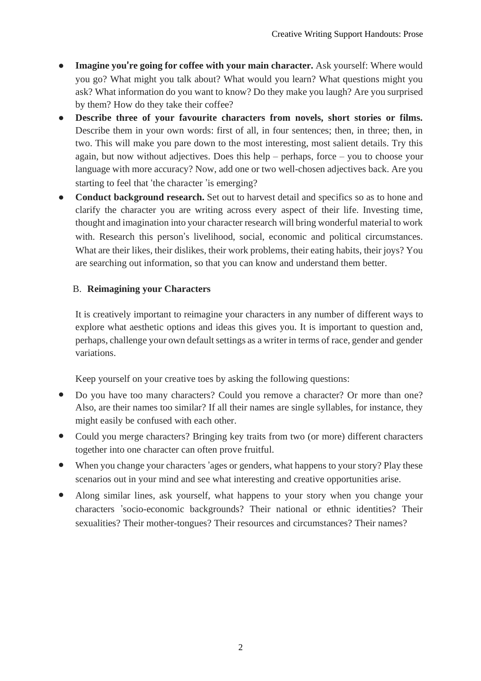- **Imagine you**'**re going for coffee with your main character.** Ask yourself: Where would you go? What might you talk about? What would you learn? What questions might you ask? What information do you want to know? Do they make you laugh? Are you surprised by them? How do they take their coffee?
- **Describe three of your favourite characters from novels, short stories or films.** Describe them in your own words: first of all, in four sentences; then, in three; then, in two. This will make you pare down to the most interesting, most salient details. Try this again, but now without adjectives. Does this help – perhaps, force – you to choose your language with more accuracy? Now, add one or two well-chosen adjectives back. Are you starting to feel that 'the character 'is emerging?
- **Conduct background research.** Set out to harvest detail and specifics so as to hone and clarify the character you are writing across every aspect of their life. Investing time, thought and imagination into your character research will bring wonderful material to work with. Research this person's livelihood, social, economic and political circumstances. What are their likes, their dislikes, their work problems, their eating habits, their joys? You are searching out information, so that you can know and understand them better.

## B. **Reimagining your Characters**

It is creatively important to reimagine your characters in any number of different ways to explore what aesthetic options and ideas this gives you. It is important to question and, perhaps, challenge your own default settings as a writer in terms of race, gender and gender variations.

Keep yourself on your creative toes by asking the following questions:

- Do you have too many characters? Could you remove a character? Or more than one? Also, are their names too similar? If all their names are single syllables, for instance, they might easily be confused with each other.
- Could you merge characters? Bringing key traits from two (or more) different characters together into one character can often prove fruitful.
- When you change your characters 'ages or genders, what happens to your story? Play these scenarios out in your mind and see what interesting and creative opportunities arise.
- Along similar lines, ask yourself, what happens to your story when you change your characters 'socio-economic backgrounds? Their national or ethnic identities? Their sexualities? Their mother-tongues? Their resources and circumstances? Their names?